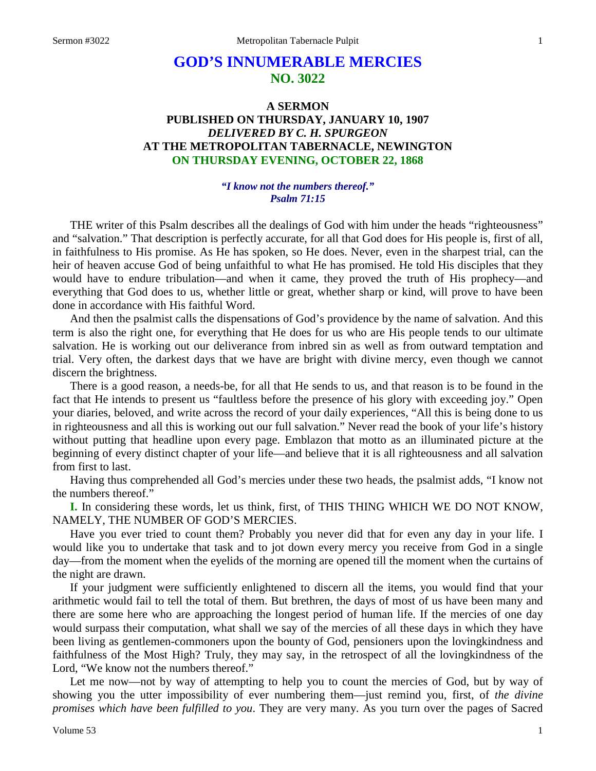# **GOD'S INNUMERABLE MERCIES NO. 3022**

# **A SERMON PUBLISHED ON THURSDAY, JANUARY 10, 1907** *DELIVERED BY C. H. SPURGEON* **AT THE METROPOLITAN TABERNACLE, NEWINGTON ON THURSDAY EVENING, OCTOBER 22, 1868**

#### *"I know not the numbers thereof." Psalm 71:15*

THE writer of this Psalm describes all the dealings of God with him under the heads "righteousness" and "salvation." That description is perfectly accurate, for all that God does for His people is, first of all, in faithfulness to His promise. As He has spoken, so He does. Never, even in the sharpest trial, can the heir of heaven accuse God of being unfaithful to what He has promised. He told His disciples that they would have to endure tribulation—and when it came, they proved the truth of His prophecy—and everything that God does to us, whether little or great, whether sharp or kind, will prove to have been done in accordance with His faithful Word.

And then the psalmist calls the dispensations of God's providence by the name of salvation. And this term is also the right one, for everything that He does for us who are His people tends to our ultimate salvation. He is working out our deliverance from inbred sin as well as from outward temptation and trial. Very often, the darkest days that we have are bright with divine mercy, even though we cannot discern the brightness.

There is a good reason, a needs-be, for all that He sends to us, and that reason is to be found in the fact that He intends to present us "faultless before the presence of his glory with exceeding joy." Open your diaries, beloved, and write across the record of your daily experiences, "All this is being done to us in righteousness and all this is working out our full salvation." Never read the book of your life's history without putting that headline upon every page. Emblazon that motto as an illuminated picture at the beginning of every distinct chapter of your life—and believe that it is all righteousness and all salvation from first to last.

Having thus comprehended all God's mercies under these two heads, the psalmist adds, "I know not the numbers thereof."

**I.** In considering these words, let us think, first, of THIS THING WHICH WE DO NOT KNOW, NAMELY, THE NUMBER OF GOD'S MERCIES.

Have you ever tried to count them? Probably you never did that for even any day in your life. I would like you to undertake that task and to jot down every mercy you receive from God in a single day—from the moment when the eyelids of the morning are opened till the moment when the curtains of the night are drawn.

If your judgment were sufficiently enlightened to discern all the items, you would find that your arithmetic would fail to tell the total of them. But brethren, the days of most of us have been many and there are some here who are approaching the longest period of human life. If the mercies of one day would surpass their computation, what shall we say of the mercies of all these days in which they have been living as gentlemen-commoners upon the bounty of God, pensioners upon the lovingkindness and faithfulness of the Most High? Truly, they may say, in the retrospect of all the lovingkindness of the Lord, "We know not the numbers thereof."

Let me now—not by way of attempting to help you to count the mercies of God, but by way of showing you the utter impossibility of ever numbering them—just remind you, first, of *the divine promises which have been fulfilled to you*. They are very many. As you turn over the pages of Sacred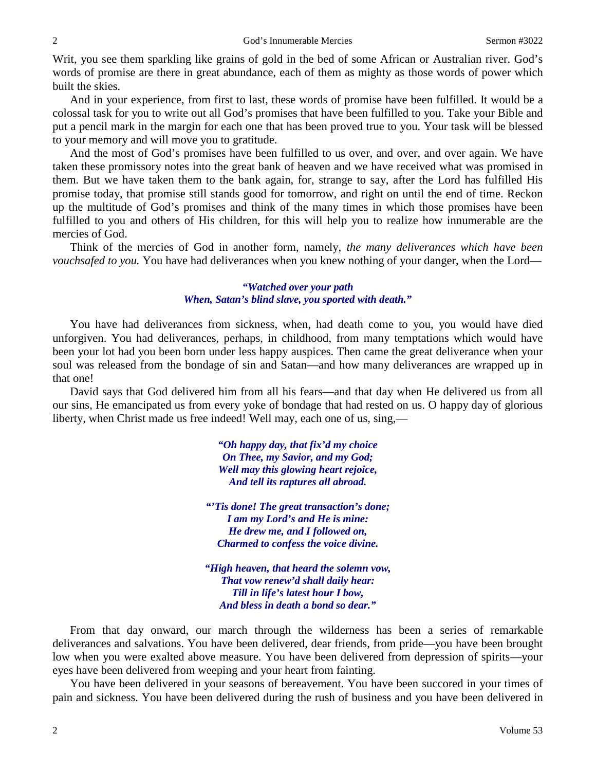Writ, you see them sparkling like grains of gold in the bed of some African or Australian river. God's words of promise are there in great abundance, each of them as mighty as those words of power which built the skies.

And in your experience, from first to last, these words of promise have been fulfilled. It would be a colossal task for you to write out all God's promises that have been fulfilled to you. Take your Bible and put a pencil mark in the margin for each one that has been proved true to you. Your task will be blessed to your memory and will move you to gratitude.

And the most of God's promises have been fulfilled to us over, and over, and over again. We have taken these promissory notes into the great bank of heaven and we have received what was promised in them. But we have taken them to the bank again, for, strange to say, after the Lord has fulfilled His promise today, that promise still stands good for tomorrow, and right on until the end of time. Reckon up the multitude of God's promises and think of the many times in which those promises have been fulfilled to you and others of His children, for this will help you to realize how innumerable are the mercies of God.

Think of the mercies of God in another form, namely, *the many deliverances which have been vouchsafed to you.* You have had deliverances when you knew nothing of your danger, when the Lord—

# *"Watched over your path When, Satan's blind slave, you sported with death."*

You have had deliverances from sickness, when, had death come to you, you would have died unforgiven. You had deliverances, perhaps, in childhood, from many temptations which would have been your lot had you been born under less happy auspices. Then came the great deliverance when your soul was released from the bondage of sin and Satan—and how many deliverances are wrapped up in that one!

David says that God delivered him from all his fears—and that day when He delivered us from all our sins, He emancipated us from every yoke of bondage that had rested on us. O happy day of glorious liberty, when Christ made us free indeed! Well may, each one of us, sing,—

> *"Oh happy day, that fix'd my choice On Thee, my Savior, and my God; Well may this glowing heart rejoice, And tell its raptures all abroad.*

*"'Tis done! The great transaction's done; I am my Lord's and He is mine: He drew me, and I followed on, Charmed to confess the voice divine.*

*"High heaven, that heard the solemn vow, That vow renew'd shall daily hear: Till in life's latest hour I bow, And bless in death a bond so dear."*

From that day onward, our march through the wilderness has been a series of remarkable deliverances and salvations. You have been delivered, dear friends, from pride—you have been brought low when you were exalted above measure. You have been delivered from depression of spirits—your eyes have been delivered from weeping and your heart from fainting.

You have been delivered in your seasons of bereavement. You have been succored in your times of pain and sickness. You have been delivered during the rush of business and you have been delivered in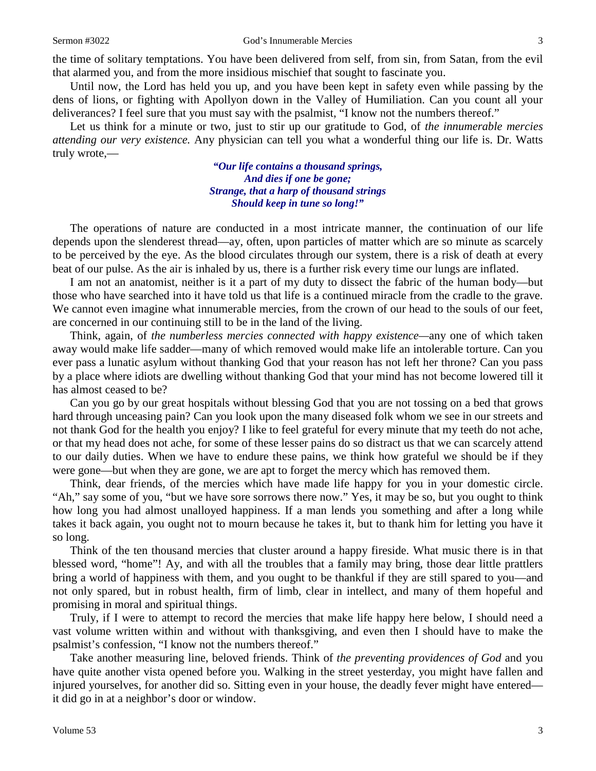the time of solitary temptations. You have been delivered from self, from sin, from Satan, from the evil that alarmed you, and from the more insidious mischief that sought to fascinate you.

Until now, the Lord has held you up, and you have been kept in safety even while passing by the dens of lions, or fighting with Apollyon down in the Valley of Humiliation. Can you count all your deliverances? I feel sure that you must say with the psalmist, "I know not the numbers thereof."

Let us think for a minute or two, just to stir up our gratitude to God, of *the innumerable mercies attending our very existence.* Any physician can tell you what a wonderful thing our life is. Dr. Watts truly wrote,—

> *"Our life contains a thousand springs, And dies if one be gone; Strange, that a harp of thousand strings Should keep in tune so long!"*

The operations of nature are conducted in a most intricate manner, the continuation of our life depends upon the slenderest thread—ay, often, upon particles of matter which are so minute as scarcely to be perceived by the eye. As the blood circulates through our system, there is a risk of death at every beat of our pulse. As the air is inhaled by us, there is a further risk every time our lungs are inflated.

I am not an anatomist, neither is it a part of my duty to dissect the fabric of the human body—but those who have searched into it have told us that life is a continued miracle from the cradle to the grave. We cannot even imagine what innumerable mercies, from the crown of our head to the souls of our feet, are concerned in our continuing still to be in the land of the living.

Think, again, of *the numberless mercies connected with happy existence—*any one of which taken away would make life sadder—many of which removed would make life an intolerable torture. Can you ever pass a lunatic asylum without thanking God that your reason has not left her throne? Can you pass by a place where idiots are dwelling without thanking God that your mind has not become lowered till it has almost ceased to be?

Can you go by our great hospitals without blessing God that you are not tossing on a bed that grows hard through unceasing pain? Can you look upon the many diseased folk whom we see in our streets and not thank God for the health you enjoy? I like to feel grateful for every minute that my teeth do not ache, or that my head does not ache, for some of these lesser pains do so distract us that we can scarcely attend to our daily duties. When we have to endure these pains, we think how grateful we should be if they were gone—but when they are gone, we are apt to forget the mercy which has removed them.

Think, dear friends, of the mercies which have made life happy for you in your domestic circle. "Ah," say some of you, "but we have sore sorrows there now." Yes, it may be so, but you ought to think how long you had almost unalloyed happiness. If a man lends you something and after a long while takes it back again, you ought not to mourn because he takes it, but to thank him for letting you have it so long.

Think of the ten thousand mercies that cluster around a happy fireside. What music there is in that blessed word, "home"! Ay, and with all the troubles that a family may bring, those dear little prattlers bring a world of happiness with them, and you ought to be thankful if they are still spared to you—and not only spared, but in robust health, firm of limb, clear in intellect, and many of them hopeful and promising in moral and spiritual things.

Truly, if I were to attempt to record the mercies that make life happy here below, I should need a vast volume written within and without with thanksgiving, and even then I should have to make the psalmist's confession, "I know not the numbers thereof."

Take another measuring line, beloved friends. Think of *the preventing providences of God* and you have quite another vista opened before you. Walking in the street yesterday, you might have fallen and injured yourselves, for another did so. Sitting even in your house, the deadly fever might have entered it did go in at a neighbor's door or window.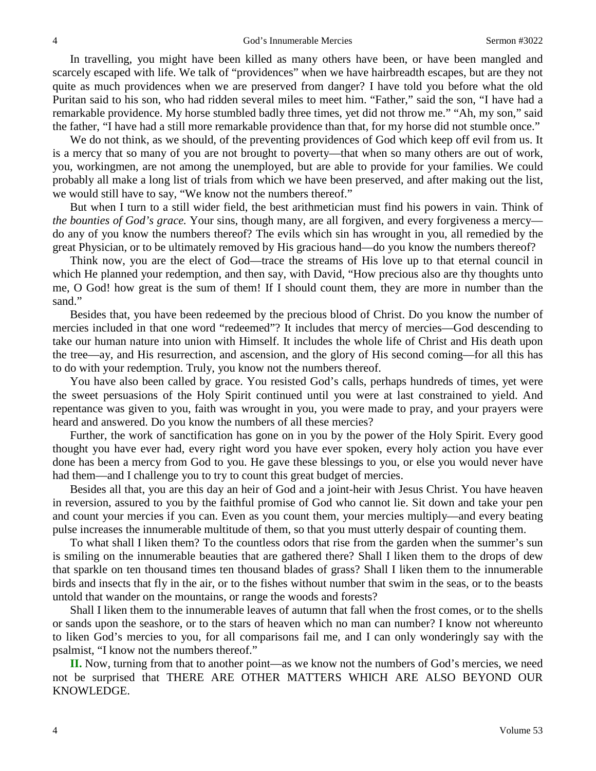In travelling, you might have been killed as many others have been, or have been mangled and scarcely escaped with life. We talk of "providences" when we have hairbreadth escapes, but are they not quite as much providences when we are preserved from danger? I have told you before what the old Puritan said to his son, who had ridden several miles to meet him. "Father," said the son, "I have had a remarkable providence. My horse stumbled badly three times, yet did not throw me." "Ah, my son," said the father, "I have had a still more remarkable providence than that, for my horse did not stumble once."

We do not think, as we should, of the preventing providences of God which keep off evil from us. It is a mercy that so many of you are not brought to poverty—that when so many others are out of work, you, workingmen, are not among the unemployed, but are able to provide for your families. We could probably all make a long list of trials from which we have been preserved, and after making out the list, we would still have to say, "We know not the numbers thereof."

But when I turn to a still wider field, the best arithmetician must find his powers in vain. Think of *the bounties of God's grace.* Your sins, though many, are all forgiven, and every forgiveness a mercy do any of you know the numbers thereof? The evils which sin has wrought in you, all remedied by the great Physician, or to be ultimately removed by His gracious hand—do you know the numbers thereof?

Think now, you are the elect of God—trace the streams of His love up to that eternal council in which He planned your redemption, and then say, with David, "How precious also are thy thoughts unto me, O God! how great is the sum of them! If I should count them, they are more in number than the sand."

Besides that, you have been redeemed by the precious blood of Christ. Do you know the number of mercies included in that one word "redeemed"? It includes that mercy of mercies—God descending to take our human nature into union with Himself. It includes the whole life of Christ and His death upon the tree—ay, and His resurrection, and ascension, and the glory of His second coming—for all this has to do with your redemption. Truly, you know not the numbers thereof.

You have also been called by grace. You resisted God's calls, perhaps hundreds of times, yet were the sweet persuasions of the Holy Spirit continued until you were at last constrained to yield. And repentance was given to you, faith was wrought in you, you were made to pray, and your prayers were heard and answered. Do you know the numbers of all these mercies?

Further, the work of sanctification has gone on in you by the power of the Holy Spirit. Every good thought you have ever had, every right word you have ever spoken, every holy action you have ever done has been a mercy from God to you. He gave these blessings to you, or else you would never have had them—and I challenge you to try to count this great budget of mercies.

Besides all that, you are this day an heir of God and a joint-heir with Jesus Christ. You have heaven in reversion, assured to you by the faithful promise of God who cannot lie. Sit down and take your pen and count your mercies if you can. Even as you count them, your mercies multiply—and every beating pulse increases the innumerable multitude of them, so that you must utterly despair of counting them.

To what shall I liken them? To the countless odors that rise from the garden when the summer's sun is smiling on the innumerable beauties that are gathered there? Shall I liken them to the drops of dew that sparkle on ten thousand times ten thousand blades of grass? Shall I liken them to the innumerable birds and insects that fly in the air, or to the fishes without number that swim in the seas, or to the beasts untold that wander on the mountains, or range the woods and forests?

Shall I liken them to the innumerable leaves of autumn that fall when the frost comes, or to the shells or sands upon the seashore, or to the stars of heaven which no man can number? I know not whereunto to liken God's mercies to you, for all comparisons fail me, and I can only wonderingly say with the psalmist, "I know not the numbers thereof."

**II.** Now, turning from that to another point—as we know not the numbers of God's mercies, we need not be surprised that THERE ARE OTHER MATTERS WHICH ARE ALSO BEYOND OUR KNOWLEDGE.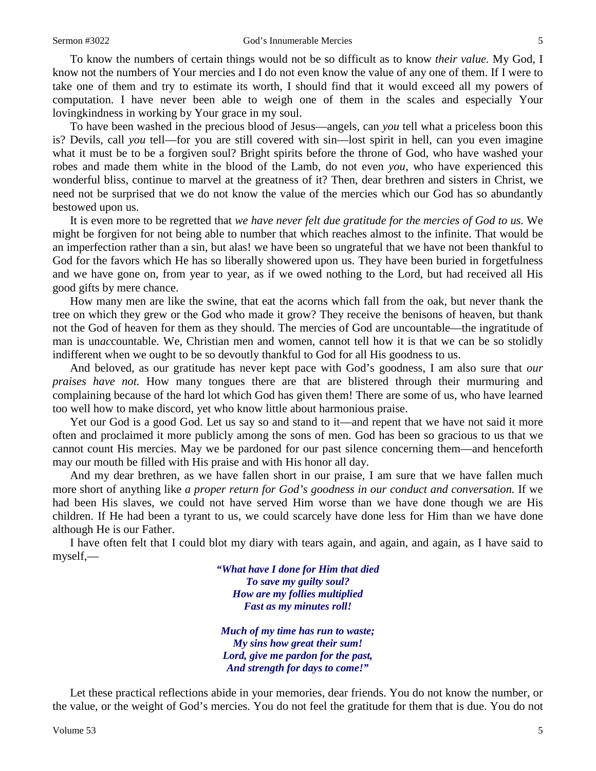To know the numbers of certain things would not be so difficult as to know *their value.* My God, I know not the numbers of Your mercies and I do not even know the value of any one of them. If I were to take one of them and try to estimate its worth, I should find that it would exceed all my powers of computation. I have never been able to weigh one of them in the scales and especially Your lovingkindness in working by Your grace in my soul.

To have been washed in the precious blood of Jesus—angels, can *you* tell what a priceless boon this is? Devils, call *you* tell—for you are still covered with sin—lost spirit in hell, can you even imagine what it must be to be a forgiven soul? Bright spirits before the throne of God, who have washed your robes and made them white in the blood of the Lamb, do not even *you*, who have experienced this wonderful bliss, continue to marvel at the greatness of it? Then, dear brethren and sisters in Christ, we need not be surprised that we do not know the value of the mercies which our God has so abundantly bestowed upon us.

It is even more to be regretted that *we have never felt due gratitude for the mercies of God to us.* We might be forgiven for not being able to number that which reaches almost to the infinite. That would be an imperfection rather than a sin, but alas! we have been so ungrateful that we have not been thankful to God for the favors which He has so liberally showered upon us. They have been buried in forgetfulness and we have gone on, from year to year, as if we owed nothing to the Lord, but had received all His good gifts by mere chance.

How many men are like the swine, that eat the acorns which fall from the oak, but never thank the tree on which they grew or the God who made it grow? They receive the benisons of heaven, but thank not the God of heaven for them as they should. The mercies of God are uncountable—the ingratitude of man is un*ac*countable. We, Christian men and women, cannot tell how it is that we can be so stolidly indifferent when we ought to be so devoutly thankful to God for all His goodness to us.

And beloved, as our gratitude has never kept pace with God's goodness, I am also sure that *our praises have not.* How many tongues there are that are blistered through their murmuring and complaining because of the hard lot which God has given them! There are some of us, who have learned too well how to make discord, yet who know little about harmonious praise.

Yet our God is a good God. Let us say so and stand to it—and repent that we have not said it more often and proclaimed it more publicly among the sons of men. God has been so gracious to us that we cannot count His mercies. May we be pardoned for our past silence concerning them—and henceforth may our mouth be filled with His praise and with His honor all day.

And my dear brethren, as we have fallen short in our praise, I am sure that we have fallen much more short of anything like *a proper return for God's goodness in our conduct and conversation.* If we had been His slaves, we could not have served Him worse than we have done though we are His children. If He had been a tyrant to us, we could scarcely have done less for Him than we have done although He is our Father.

I have often felt that I could blot my diary with tears again, and again, and again, as I have said to myself,—

> *"What have I done for Him that died To save my guilty soul? How are my follies multiplied Fast as my minutes roll!*

*Much of my time has run to waste; My sins how great their sum! Lord, give me pardon for the past, And strength for days to come!"*

Let these practical reflections abide in your memories, dear friends. You do not know the number, or the value, or the weight of God's mercies. You do not feel the gratitude for them that is due. You do not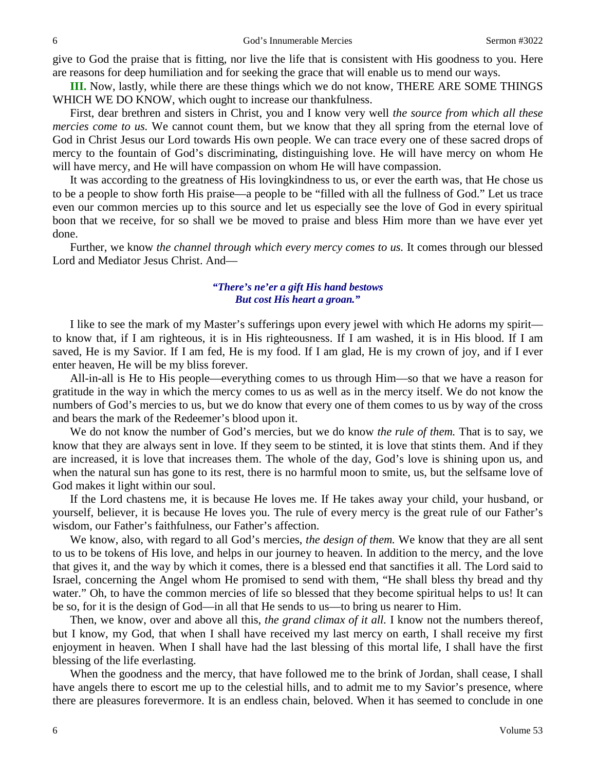give to God the praise that is fitting, nor live the life that is consistent with His goodness to you. Here are reasons for deep humiliation and for seeking the grace that will enable us to mend our ways.

**III.** Now, lastly, while there are these things which we do not know, THERE ARE SOME THINGS WHICH WE DO KNOW, which ought to increase our thankfulness.

First, dear brethren and sisters in Christ, you and I know very well *the source from which all these mercies come to us.* We cannot count them, but we know that they all spring from the eternal love of God in Christ Jesus our Lord towards His own people. We can trace every one of these sacred drops of mercy to the fountain of God's discriminating, distinguishing love. He will have mercy on whom He will have mercy, and He will have compassion on whom He will have compassion.

It was according to the greatness of His lovingkindness to us, or ever the earth was, that He chose us to be a people to show forth His praise—a people to be "filled with all the fullness of God." Let us trace even our common mercies up to this source and let us especially see the love of God in every spiritual boon that we receive, for so shall we be moved to praise and bless Him more than we have ever yet done.

Further, we know *the channel through which every mercy comes to us.* It comes through our blessed Lord and Mediator Jesus Christ. And—

#### *"There's ne'er a gift His hand bestows But cost His heart a groan."*

I like to see the mark of my Master's sufferings upon every jewel with which He adorns my spirit to know that, if I am righteous, it is in His righteousness. If I am washed, it is in His blood. If I am saved, He is my Savior. If I am fed, He is my food. If I am glad, He is my crown of joy, and if I ever enter heaven, He will be my bliss forever.

All-in-all is He to His people—everything comes to us through Him—so that we have a reason for gratitude in the way in which the mercy comes to us as well as in the mercy itself. We do not know the numbers of God's mercies to us, but we do know that every one of them comes to us by way of the cross and bears the mark of the Redeemer's blood upon it.

We do not know the number of God's mercies, but we do know *the rule of them.* That is to say, we know that they are always sent in love. If they seem to be stinted, it is love that stints them. And if they are increased, it is love that increases them. The whole of the day, God's love is shining upon us, and when the natural sun has gone to its rest, there is no harmful moon to smite, us, but the selfsame love of God makes it light within our soul.

If the Lord chastens me, it is because He loves me. If He takes away your child, your husband, or yourself, believer, it is because He loves you. The rule of every mercy is the great rule of our Father's wisdom, our Father's faithfulness, our Father's affection.

We know, also, with regard to all God's mercies, *the design of them.* We know that they are all sent to us to be tokens of His love, and helps in our journey to heaven. In addition to the mercy, and the love that gives it, and the way by which it comes, there is a blessed end that sanctifies it all. The Lord said to Israel, concerning the Angel whom He promised to send with them, "He shall bless thy bread and thy water." Oh, to have the common mercies of life so blessed that they become spiritual helps to us! It can be so, for it is the design of God—in all that He sends to us—to bring us nearer to Him.

Then, we know, over and above all this, *the grand climax of it all.* I know not the numbers thereof, but I know, my God, that when I shall have received my last mercy on earth, I shall receive my first enjoyment in heaven. When I shall have had the last blessing of this mortal life, I shall have the first blessing of the life everlasting.

When the goodness and the mercy, that have followed me to the brink of Jordan, shall cease, I shall have angels there to escort me up to the celestial hills, and to admit me to my Savior's presence, where there are pleasures forevermore. It is an endless chain, beloved. When it has seemed to conclude in one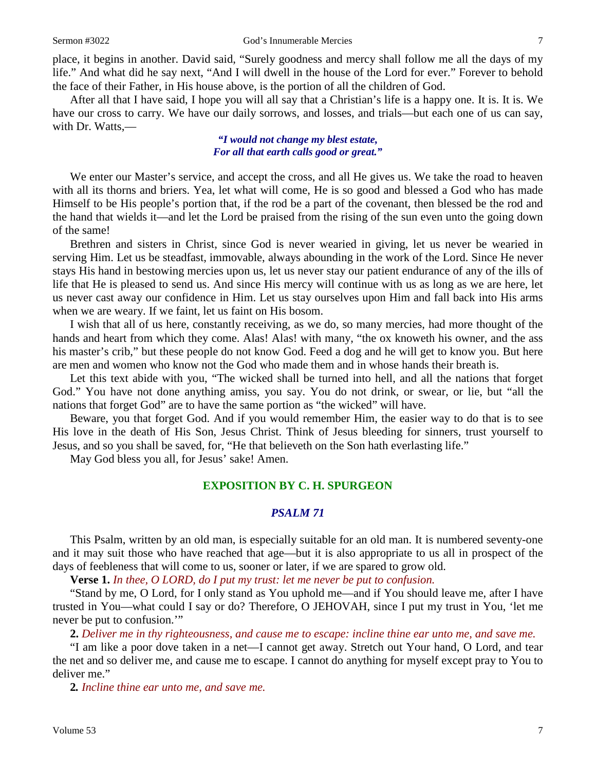place, it begins in another. David said, "Surely goodness and mercy shall follow me all the days of my life." And what did he say next, "And I will dwell in the house of the Lord for ever." Forever to behold the face of their Father, in His house above, is the portion of all the children of God.

After all that I have said, I hope you will all say that a Christian's life is a happy one. It is. It is. We have our cross to carry. We have our daily sorrows, and losses, and trials—but each one of us can say, with Dr. Watts,—

#### *"I would not change my blest estate, For all that earth calls good or great."*

We enter our Master's service, and accept the cross, and all He gives us. We take the road to heaven with all its thorns and briers. Yea, let what will come, He is so good and blessed a God who has made Himself to be His people's portion that, if the rod be a part of the covenant, then blessed be the rod and the hand that wields it—and let the Lord be praised from the rising of the sun even unto the going down of the same!

Brethren and sisters in Christ, since God is never wearied in giving, let us never be wearied in serving Him. Let us be steadfast, immovable, always abounding in the work of the Lord. Since He never stays His hand in bestowing mercies upon us, let us never stay our patient endurance of any of the ills of life that He is pleased to send us. And since His mercy will continue with us as long as we are here, let us never cast away our confidence in Him. Let us stay ourselves upon Him and fall back into His arms when we are weary. If we faint, let us faint on His bosom.

I wish that all of us here, constantly receiving, as we do, so many mercies, had more thought of the hands and heart from which they come. Alas! Alas! with many, "the ox knoweth his owner, and the ass his master's crib," but these people do not know God. Feed a dog and he will get to know you. But here are men and women who know not the God who made them and in whose hands their breath is.

Let this text abide with you, "The wicked shall be turned into hell, and all the nations that forget God." You have not done anything amiss, you say. You do not drink, or swear, or lie, but "all the nations that forget God" are to have the same portion as "the wicked" will have.

Beware, you that forget God. And if you would remember Him, the easier way to do that is to see His love in the death of His Son, Jesus Christ. Think of Jesus bleeding for sinners, trust yourself to Jesus, and so you shall be saved, for, "He that believeth on the Son hath everlasting life."

May God bless you all, for Jesus' sake! Amen.

#### **EXPOSITION BY C. H. SPURGEON**

## *PSALM 71*

This Psalm, written by an old man, is especially suitable for an old man. It is numbered seventy-one and it may suit those who have reached that age—but it is also appropriate to us all in prospect of the days of feebleness that will come to us, sooner or later, if we are spared to grow old.

**Verse 1.** *In thee, O LORD, do I put my trust: let me never be put to confusion.*

"Stand by me, O Lord, for I only stand as You uphold me—and if You should leave me, after I have trusted in You—what could I say or do? Therefore, O JEHOVAH, since I put my trust in You, 'let me never be put to confusion."

**2.** *Deliver me in thy righteousness, and cause me to escape: incline thine ear unto me, and save me.*

"I am like a poor dove taken in a net—I cannot get away. Stretch out Your hand, O Lord, and tear the net and so deliver me, and cause me to escape. I cannot do anything for myself except pray to You to deliver me."

**2***. Incline thine ear unto me, and save me.*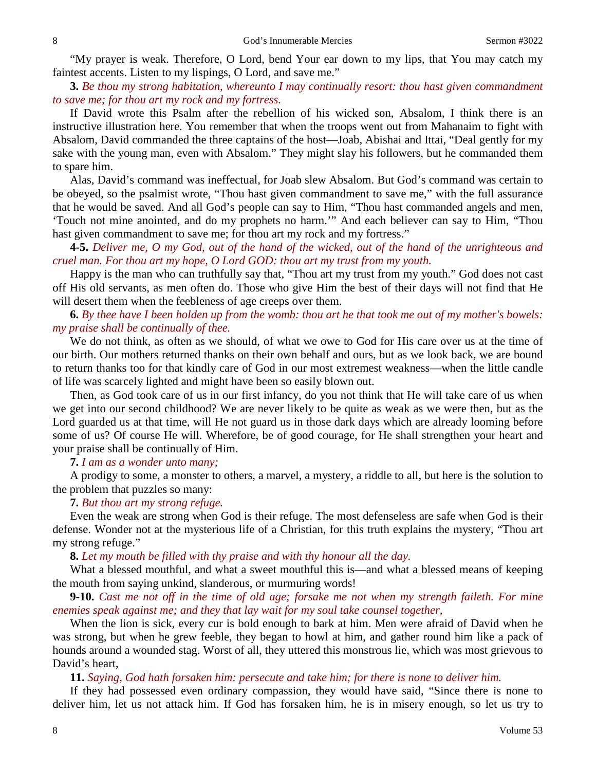"My prayer is weak. Therefore, O Lord, bend Your ear down to my lips, that You may catch my faintest accents. Listen to my lispings, O Lord, and save me."

**3.** *Be thou my strong habitation, whereunto I may continually resort: thou hast given commandment to save me; for thou art my rock and my fortress.*

If David wrote this Psalm after the rebellion of his wicked son, Absalom, I think there is an instructive illustration here. You remember that when the troops went out from Mahanaim to fight with Absalom, David commanded the three captains of the host—Joab, Abishai and Ittai, "Deal gently for my sake with the young man, even with Absalom." They might slay his followers, but he commanded them to spare him.

Alas, David's command was ineffectual, for Joab slew Absalom. But God's command was certain to be obeyed, so the psalmist wrote, "Thou hast given commandment to save me," with the full assurance that he would be saved. And all God's people can say to Him, "Thou hast commanded angels and men, 'Touch not mine anointed, and do my prophets no harm.'" And each believer can say to Him, "Thou hast given commandment to save me; for thou art my rock and my fortress."

**4-5.** *Deliver me, O my God, out of the hand of the wicked, out of the hand of the unrighteous and cruel man. For thou art my hope, O Lord GOD: thou art my trust from my youth.*

Happy is the man who can truthfully say that, "Thou art my trust from my youth." God does not cast off His old servants, as men often do. Those who give Him the best of their days will not find that He will desert them when the feebleness of age creeps over them.

# **6.** *By thee have I been holden up from the womb: thou art he that took me out of my mother's bowels: my praise shall be continually of thee.*

We do not think, as often as we should, of what we owe to God for His care over us at the time of our birth. Our mothers returned thanks on their own behalf and ours, but as we look back, we are bound to return thanks too for that kindly care of God in our most extremest weakness—when the little candle of life was scarcely lighted and might have been so easily blown out.

Then, as God took care of us in our first infancy, do you not think that He will take care of us when we get into our second childhood? We are never likely to be quite as weak as we were then, but as the Lord guarded us at that time, will He not guard us in those dark days which are already looming before some of us? Of course He will. Wherefore, be of good courage, for He shall strengthen your heart and your praise shall be continually of Him.

**7.** *I am as a wonder unto many;*

A prodigy to some, a monster to others, a marvel, a mystery, a riddle to all, but here is the solution to the problem that puzzles so many:

## **7.** *But thou art my strong refuge.*

Even the weak are strong when God is their refuge. The most defenseless are safe when God is their defense. Wonder not at the mysterious life of a Christian, for this truth explains the mystery, "Thou art my strong refuge."

**8.** *Let my mouth be filled with thy praise and with thy honour all the day.*

What a blessed mouthful, and what a sweet mouthful this is—and what a blessed means of keeping the mouth from saying unkind, slanderous, or murmuring words!

**9-10.** *Cast me not off in the time of old age; forsake me not when my strength faileth. For mine enemies speak against me; and they that lay wait for my soul take counsel together,*

When the lion is sick, every cur is bold enough to bark at him. Men were afraid of David when he was strong, but when he grew feeble, they began to howl at him, and gather round him like a pack of hounds around a wounded stag. Worst of all, they uttered this monstrous lie, which was most grievous to David's heart,

**11.** *Saying, God hath forsaken him: persecute and take him; for there is none to deliver him.*

If they had possessed even ordinary compassion, they would have said, "Since there is none to deliver him, let us not attack him. If God has forsaken him, he is in misery enough, so let us try to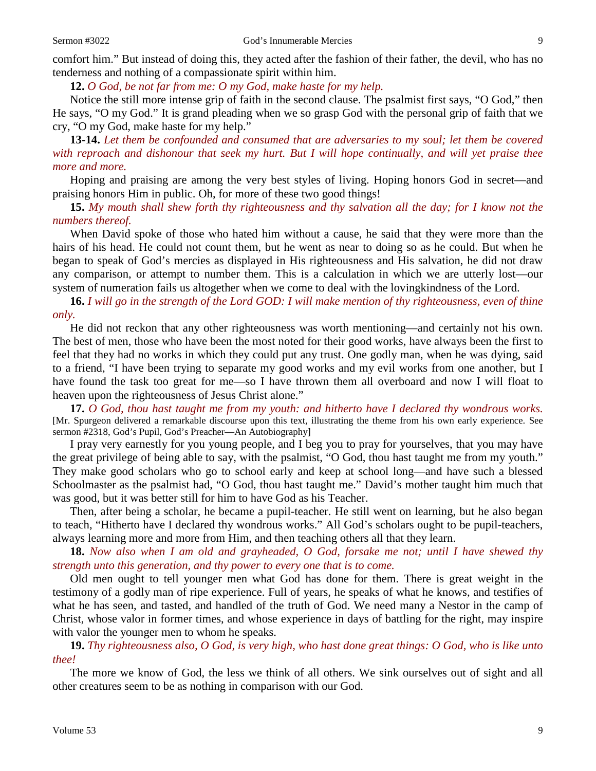comfort him." But instead of doing this, they acted after the fashion of their father, the devil, who has no tenderness and nothing of a compassionate spirit within him.

**12.** *O God, be not far from me: O my God, make haste for my help.*

Notice the still more intense grip of faith in the second clause. The psalmist first says*,* "O God," then He says, "O my God." It is grand pleading when we so grasp God with the personal grip of faith that we cry, "O my God, make haste for my help."

**13-14.** *Let them be confounded and consumed that are adversaries to my soul; let them be covered with reproach and dishonour that seek my hurt. But I will hope continually, and will yet praise thee more and more.*

Hoping and praising are among the very best styles of living. Hoping honors God in secret—and praising honors Him in public. Oh, for more of these two good things!

**15.** *My mouth shall shew forth thy righteousness and thy salvation all the day; for I know not the numbers thereof.*

When David spoke of those who hated him without a cause, he said that they were more than the hairs of his head. He could not count them, but he went as near to doing so as he could. But when he began to speak of God's mercies as displayed in His righteousness and His salvation, he did not draw any comparison, or attempt to number them. This is a calculation in which we are utterly lost—our system of numeration fails us altogether when we come to deal with the lovingkindness of the Lord.

**16.** *I will go in the strength of the Lord GOD: I will make mention of thy righteousness, even of thine only.*

He did not reckon that any other righteousness was worth mentioning—and certainly not his own. The best of men, those who have been the most noted for their good works, have always been the first to feel that they had no works in which they could put any trust. One godly man, when he was dying, said to a friend, "I have been trying to separate my good works and my evil works from one another, but I have found the task too great for me—so I have thrown them all overboard and now I will float to heaven upon the righteousness of Jesus Christ alone."

**17.** *O God, thou hast taught me from my youth: and hitherto have I declared thy wondrous works.* [Mr. Spurgeon delivered a remarkable discourse upon this text, illustrating the theme from his own early experience. See sermon #2318, God's Pupil, God's Preacher—An Autobiography]

I pray very earnestly for you young people, and I beg you to pray for yourselves, that you may have the great privilege of being able to say, with the psalmist, "O God, thou hast taught me from my youth." They make good scholars who go to school early and keep at school long—and have such a blessed Schoolmaster as the psalmist had, "O God, thou hast taught me." David's mother taught him much that was good, but it was better still for him to have God as his Teacher.

Then, after being a scholar, he became a pupil-teacher. He still went on learning, but he also began to teach, "Hitherto have I declared thy wondrous works." All God's scholars ought to be pupil-teachers, always learning more and more from Him, and then teaching others all that they learn.

**18.** *Now also when I am old and grayheaded, O God, forsake me not; until I have shewed thy strength unto this generation, and thy power to every one that is to come.*

Old men ought to tell younger men what God has done for them. There is great weight in the testimony of a godly man of ripe experience. Full of years, he speaks of what he knows, and testifies of what he has seen, and tasted, and handled of the truth of God. We need many a Nestor in the camp of Christ, whose valor in former times, and whose experience in days of battling for the right, may inspire with valor the younger men to whom he speaks.

**19.** *Thy righteousness also, O God, is very high, who hast done great things: O God, who is like unto thee!*

The more we know of God, the less we think of all others. We sink ourselves out of sight and all other creatures seem to be as nothing in comparison with our God.